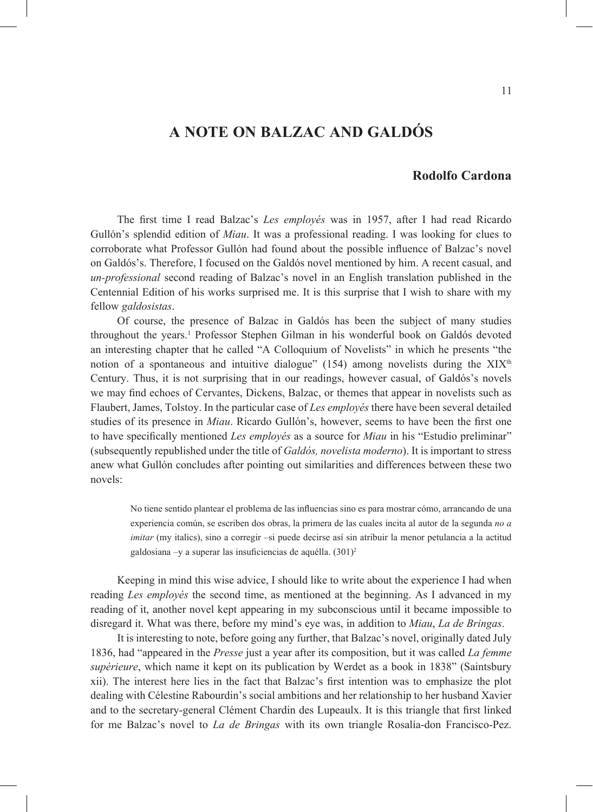# **A NOTE ON BALZAC AND GALDÓS**

## **Rodolfo Cardona**

The first time I read Balzac's *Les employés* was in 1957, after I had read Ricardo Gullón's splendid edition of *Miau*. It was a professional reading. I was looking for clues to corroborate what Professor Gullón had found about the possible influence of Balzac's novel on Galdós's. Therefore, I focused on the Galdós novel mentioned by him. A recent casual, and *un-professional* second reading of Balzac's novel in an English translation published in the Centennial Edition of his works surprised me. It is this surprise that I wish to share with my fellow *galdosistas*.

Of course, the presence of Balzac in Galdós has been the subject of many studies throughout the years.1 Professor Stephen Gilman in his wonderful book on Galdós devoted an interesting chapter that he called "A Colloquium of Novelists" in which he presents "the notion of a spontaneous and intuitive dialogue" (154) among novelists during the  $XIX<sup>th</sup>$ Century. Thus, it is not surprising that in our readings, however casual, of Galdós's novels we may find echoes of Cervantes, Dickens, Balzac, or themes that appear in novelists such as Flaubert, James, Tolstoy. In the particular case of *Les employés* there have been several detailed studies of its presence in *Miau*. Ricardo Gullón's, however, seems to have been the first one to have specifically mentioned *Les employés* as a source for *Miau* in his "Estudio preliminar" (subsequently republished under the title of *Galdós, novelista moderno*). It is important to stress anew what Gullón concludes after pointing out similarities and differences between these two novels:

No tiene sentido plantear el problema de las influencias sino es para mostrar cómo, arrancando de una experiencia común, se escriben dos obras, la primera de las cuales incita al autor de la segunda *no a imitar* (my italics), sino a corregir –si puede decirse así sin atribuir la menor petulancia a la actitud galdosiana –y a superar las insuficiencias de aquélla.  $(301)^2$ 

Keeping in mind this wise advice, I should like to write about the experience I had when reading *Les employés* the second time, as mentioned at the beginning. As I advanced in my reading of it, another novel kept appearing in my subconscious until it became impossible to disregard it. What was there, before my mind's eye was, in addition to *Miau*, *La de Bringas*.

It is interesting to note, before going any further, that Balzac's novel, originally dated July 1836, had "appeared in the *Presse* just a year after its composition, but it was called *La femme supérieure*, which name it kept on its publication by Werdet as a book in 1838" (Saintsbury xii). The interest here lies in the fact that Balzac's first intention was to emphasize the plot dealing with Célestine Rabourdin's social ambitions and her relationship to her husband Xavier and to the secretary-general Clément Chardin des Lupeaulx. It is this triangle that first linked for me Balzac's novel to *La de Bringas* with its own triangle Rosalía-don Francisco-Pez.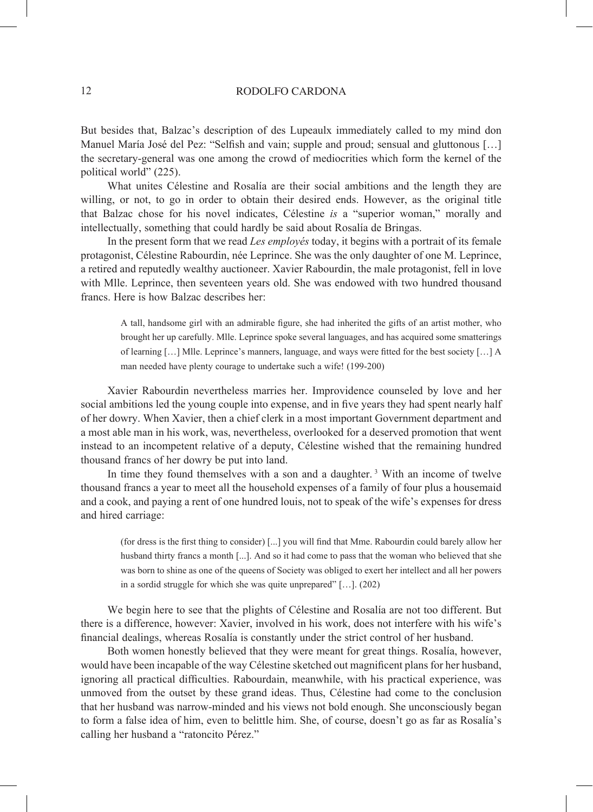But besides that, Balzac's description of des Lupeaulx immediately called to my mind don Manuel María José del Pez: "Selfish and vain; supple and proud; sensual and gluttonous […] the secretary-general was one among the crowd of mediocrities which form the kernel of the political world" (225).

What unites Célestine and Rosalía are their social ambitions and the length they are willing, or not, to go in order to obtain their desired ends. However, as the original title that Balzac chose for his novel indicates, Célestine *is* a "superior woman," morally and intellectually, something that could hardly be said about Rosalía de Bringas.

In the present form that we read *Les employés* today, it begins with a portrait of its female protagonist, Célestine Rabourdin, née Leprince. She was the only daughter of one M. Leprince, a retired and reputedly wealthy auctioneer. Xavier Rabourdin, the male protagonist, fell in love with Mlle. Leprince, then seventeen years old. She was endowed with two hundred thousand francs. Here is how Balzac describes her:

A tall, handsome girl with an admirable figure, she had inherited the gifts of an artist mother, who brought her up carefully. Mlle. Leprince spoke several languages, and has acquired some smatterings of learning […] Mlle. Leprince's manners, language, and ways were fitted for the best society […] A man needed have plenty courage to undertake such a wife! (199-200)

Xavier Rabourdin nevertheless marries her. Improvidence counseled by love and her social ambitions led the young couple into expense, and in five years they had spent nearly half of her dowry. When Xavier, then a chief clerk in a most important Government department and a most able man in his work, was, nevertheless, overlooked for a deserved promotion that went instead to an incompetent relative of a deputy, Célestine wished that the remaining hundred thousand francs of her dowry be put into land.

In time they found themselves with a son and a daughter. 3 With an income of twelve thousand francs a year to meet all the household expenses of a family of four plus a housemaid and a cook, and paying a rent of one hundred louis, not to speak of the wife's expenses for dress and hired carriage:

(for dress is the first thing to consider) [...] you will find that Mme. Rabourdin could barely allow her husband thirty francs a month [...]. And so it had come to pass that the woman who believed that she was born to shine as one of the queens of Society was obliged to exert her intellect and all her powers in a sordid struggle for which she was quite unprepared" […]. (202)

We begin here to see that the plights of Célestine and Rosalía are not too different. But there is a difference, however: Xavier, involved in his work, does not interfere with his wife's financial dealings, whereas Rosalía is constantly under the strict control of her husband.

Both women honestly believed that they were meant for great things. Rosalía, however, would have been incapable of the way Célestine sketched out magnificent plans for her husband, ignoring all practical difficulties. Rabourdain, meanwhile, with his practical experience, was unmoved from the outset by these grand ideas. Thus, Célestine had come to the conclusion that her husband was narrow-minded and his views not bold enough. She unconsciously began to form a false idea of him, even to belittle him. She, of course, doesn't go as far as Rosalía's calling her husband a "ratoncito Pérez."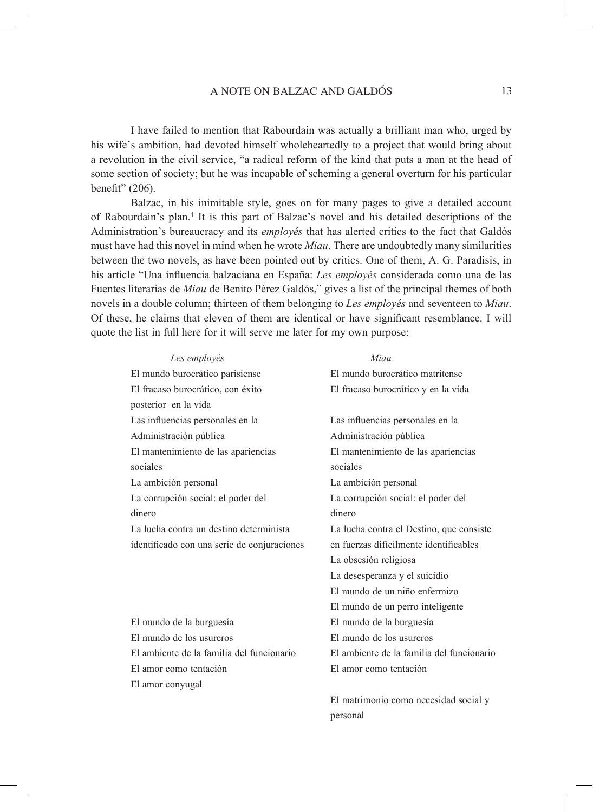I have failed to mention that Rabourdain was actually a brilliant man who, urged by his wife's ambition, had devoted himself wholeheartedly to a project that would bring about a revolution in the civil service, "a radical reform of the kind that puts a man at the head of some section of society; but he was incapable of scheming a general overturn for his particular benefit" (206).

Balzac, in his inimitable style, goes on for many pages to give a detailed account of Rabourdain's plan.<sup>4</sup> It is this part of Balzac's novel and his detailed descriptions of the Administration's bureaucracy and its *employés* that has alerted critics to the fact that Galdós must have had this novel in mind when he wrote *Miau*. There are undoubtedly many similarities between the two novels, as have been pointed out by critics. One of them, A. G. Paradisis, in his article "Una influencia balzaciana en España: *Les employés* considerada como una de las Fuentes literarias de *Miau* de Benito Pérez Galdós," gives a list of the principal themes of both novels in a double column; thirteen of them belonging to *Les employés* and seventeen to *Miau*. Of these, he claims that eleven of them are identical or have significant resemblance. I will quote the list in full here for it will serve me later for my own purpose:

| Les employés                                | Miau                                      |
|---------------------------------------------|-------------------------------------------|
| El mundo burocrático parisiense             | El mundo burocrático matritense           |
| El fracaso burocrático, con éxito           | El fracaso burocrático y en la vida       |
| posterior en la vida                        |                                           |
| Las influencias personales en la            | Las influencias personales en la          |
| Administración pública                      | Administración pública                    |
| El mantenimiento de las apariencias         | El mantenimiento de las apariencias       |
| sociales                                    | sociales                                  |
| La ambición personal                        | La ambición personal                      |
| La corrupción social: el poder del          | La corrupción social: el poder del        |
| dinero                                      | dinero                                    |
| La lucha contra un destino determinista     | La lucha contra el Destino, que consiste  |
| identificado con una serie de conjuraciones | en fuerzas difícilmente identificables    |
|                                             | La obsesión religiosa                     |
|                                             | La desesperanza y el suicidio             |
|                                             | El mundo de un niño enfermizo             |
|                                             | El mundo de un perro inteligente          |
| El mundo de la burguesía                    | El mundo de la burguesía                  |
| El mundo de los usureros                    | El mundo de los usureros                  |
| El ambiente de la familia del funcionario   | El ambiente de la familia del funcionario |
| El amor como tentación                      | El amor como tentación                    |
| El amor conyugal                            |                                           |
|                                             | El matrimonio como necesidad social y     |
|                                             | personal                                  |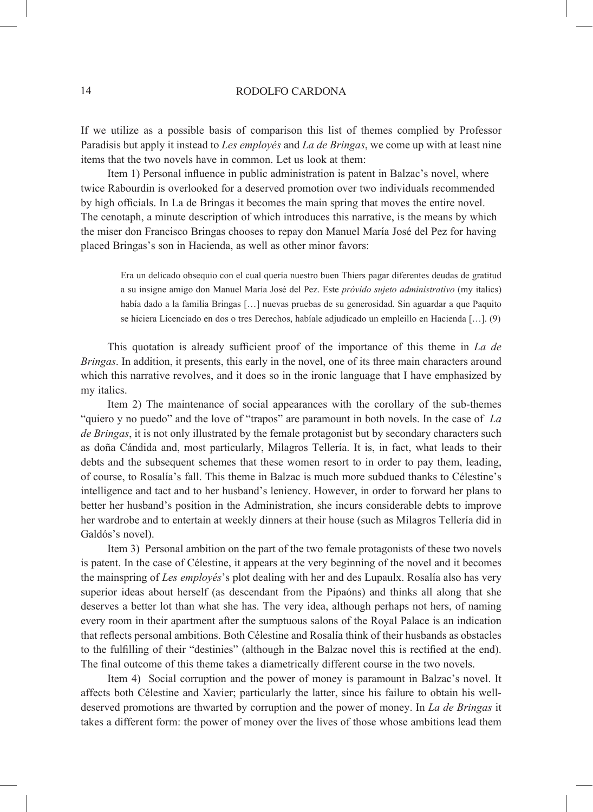If we utilize as a possible basis of comparison this list of themes complied by Professor Paradisis but apply it instead to *Les employés* and *La de Bringas*, we come up with at least nine items that the two novels have in common. Let us look at them:

Item 1) Personal influence in public administration is patent in Balzac's novel, where twice Rabourdin is overlooked for a deserved promotion over two individuals recommended by high officials. In La de Bringas it becomes the main spring that moves the entire novel. The cenotaph, a minute description of which introduces this narrative, is the means by which the miser don Francisco Bringas chooses to repay don Manuel María José del Pez for having placed Bringas's son in Hacienda, as well as other minor favors:

Era un delicado obsequio con el cual quería nuestro buen Thiers pagar diferentes deudas de gratitud a su insigne amigo don Manuel María José del Pez. Este *próvido sujeto administrativo* (my italics) había dado a la familia Bringas […] nuevas pruebas de su generosidad. Sin aguardar a que Paquito se hiciera Licenciado en dos o tres Derechos, habíale adjudicado un empleillo en Hacienda […]. (9)

This quotation is already sufficient proof of the importance of this theme in *La de Bringas*. In addition, it presents, this early in the novel, one of its three main characters around which this narrative revolves, and it does so in the ironic language that I have emphasized by my italics.

Item 2) The maintenance of social appearances with the corollary of the sub-themes "quiero y no puedo" and the love of "trapos" are paramount in both novels. In the case of *La de Bringas*, it is not only illustrated by the female protagonist but by secondary characters such as doña Cándida and, most particularly, Milagros Tellería. It is, in fact, what leads to their debts and the subsequent schemes that these women resort to in order to pay them, leading, of course, to Rosalía's fall. This theme in Balzac is much more subdued thanks to Célestine's intelligence and tact and to her husband's leniency. However, in order to forward her plans to better her husband's position in the Administration, she incurs considerable debts to improve her wardrobe and to entertain at weekly dinners at their house (such as Milagros Tellería did in Galdós's novel).

Item 3) Personal ambition on the part of the two female protagonists of these two novels is patent. In the case of Célestine, it appears at the very beginning of the novel and it becomes the mainspring of *Les employés*'s plot dealing with her and des Lupaulx. Rosalía also has very superior ideas about herself (as descendant from the Pipaóns) and thinks all along that she deserves a better lot than what she has. The very idea, although perhaps not hers, of naming every room in their apartment after the sumptuous salons of the Royal Palace is an indication that reflects personal ambitions. Both Célestine and Rosalía think of their husbands as obstacles to the fulfilling of their "destinies" (although in the Balzac novel this is rectified at the end). The final outcome of this theme takes a diametrically different course in the two novels.

Item 4) Social corruption and the power of money is paramount in Balzac's novel. It affects both Célestine and Xavier; particularly the latter, since his failure to obtain his welldeserved promotions are thwarted by corruption and the power of money. In *La de Bringas* it takes a different form: the power of money over the lives of those whose ambitions lead them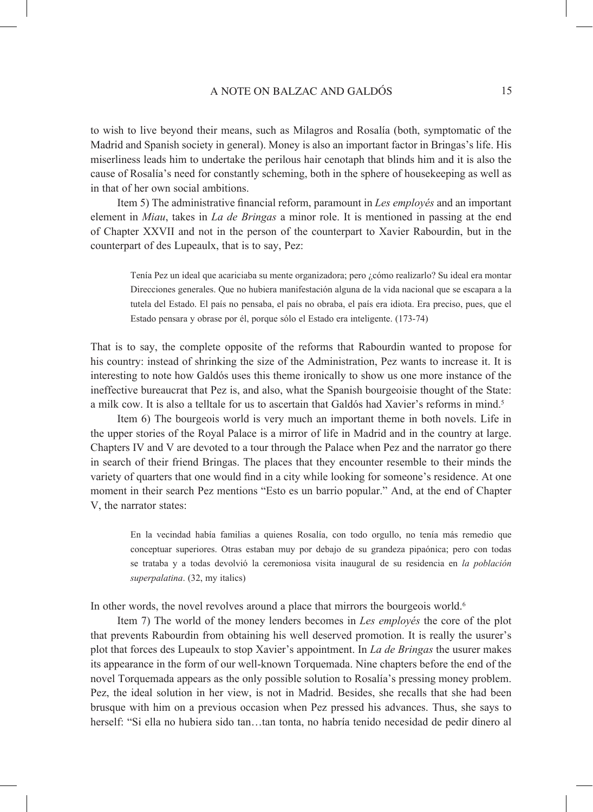to wish to live beyond their means, such as Milagros and Rosalía (both, symptomatic of the Madrid and Spanish society in general). Money is also an important factor in Bringas's life. His miserliness leads him to undertake the perilous hair cenotaph that blinds him and it is also the cause of Rosalía's need for constantly scheming, both in the sphere of housekeeping as well as in that of her own social ambitions.

Item 5) The administrative financial reform, paramount in *Les employés* and an important element in *Miau*, takes in *La de Bringas* a minor role. It is mentioned in passing at the end of Chapter XXVII and not in the person of the counterpart to Xavier Rabourdin, but in the counterpart of des Lupeaulx, that is to say, Pez:

Tenía Pez un ideal que acariciaba su mente organizadora; pero ¿cómo realizarlo? Su ideal era montar Direcciones generales. Que no hubiera manifestación alguna de la vida nacional que se escapara a la tutela del Estado. El país no pensaba, el país no obraba, el país era idiota. Era preciso, pues, que el Estado pensara y obrase por él, porque sólo el Estado era inteligente. (173-74)

That is to say, the complete opposite of the reforms that Rabourdin wanted to propose for his country: instead of shrinking the size of the Administration, Pez wants to increase it. It is interesting to note how Galdós uses this theme ironically to show us one more instance of the ineffective bureaucrat that Pez is, and also, what the Spanish bourgeoisie thought of the State: a milk cow. It is also a telltale for us to ascertain that Galdós had Xavier's reforms in mind.<sup>5</sup>

Item 6) The bourgeois world is very much an important theme in both novels. Life in the upper stories of the Royal Palace is a mirror of life in Madrid and in the country at large. Chapters IV and V are devoted to a tour through the Palace when Pez and the narrator go there in search of their friend Bringas. The places that they encounter resemble to their minds the variety of quarters that one would find in a city while looking for someone's residence. At one moment in their search Pez mentions "Esto es un barrio popular." And, at the end of Chapter V, the narrator states:

En la vecindad había familias a quienes Rosalía, con todo orgullo, no tenía más remedio que conceptuar superiores. Otras estaban muy por debajo de su grandeza pipaónica; pero con todas se trataba y a todas devolvió la ceremoniosa visita inaugural de su residencia en *la población superpalatina*. (32, my italics)

In other words, the novel revolves around a place that mirrors the bourgeois world.<sup>6</sup>

Item 7) The world of the money lenders becomes in *Les employés* the core of the plot that prevents Rabourdin from obtaining his well deserved promotion. It is really the usurer's plot that forces des Lupeaulx to stop Xavier's appointment. In *La de Bringas* the usurer makes its appearance in the form of our well-known Torquemada. Nine chapters before the end of the novel Torquemada appears as the only possible solution to Rosalía's pressing money problem. Pez, the ideal solution in her view, is not in Madrid. Besides, she recalls that she had been brusque with him on a previous occasion when Pez pressed his advances. Thus, she says to herself: "Si ella no hubiera sido tan…tan tonta, no habría tenido necesidad de pedir dinero al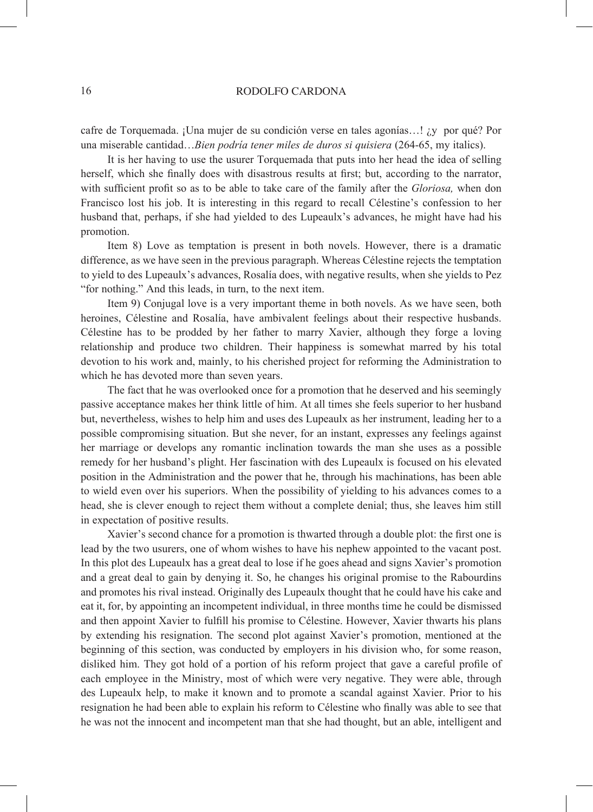cafre de Torquemada. ¡Una mujer de su condición verse en tales agonías…! ¿y por qué? Por una miserable cantidad…*Bien podría tener miles de duros si quisiera* (264-65, my italics).

It is her having to use the usurer Torquemada that puts into her head the idea of selling herself, which she finally does with disastrous results at first; but, according to the narrator, with sufficient profit so as to be able to take care of the family after the *Gloriosa,* when don Francisco lost his job. It is interesting in this regard to recall Célestine's confession to her husband that, perhaps, if she had yielded to des Lupeaulx's advances, he might have had his promotion.

Item 8) Love as temptation is present in both novels. However, there is a dramatic difference, as we have seen in the previous paragraph. Whereas Célestine rejects the temptation to yield to des Lupeaulx's advances, Rosalía does, with negative results, when she yields to Pez "for nothing." And this leads, in turn, to the next item.

Item 9) Conjugal love is a very important theme in both novels. As we have seen, both heroines, Célestine and Rosalía, have ambivalent feelings about their respective husbands. Célestine has to be prodded by her father to marry Xavier, although they forge a loving relationship and produce two children. Their happiness is somewhat marred by his total devotion to his work and, mainly, to his cherished project for reforming the Administration to which he has devoted more than seven years.

The fact that he was overlooked once for a promotion that he deserved and his seemingly passive acceptance makes her think little of him. At all times she feels superior to her husband but, nevertheless, wishes to help him and uses des Lupeaulx as her instrument, leading her to a possible compromising situation. But she never, for an instant, expresses any feelings against her marriage or develops any romantic inclination towards the man she uses as a possible remedy for her husband's plight. Her fascination with des Lupeaulx is focused on his elevated position in the Administration and the power that he, through his machinations, has been able to wield even over his superiors. When the possibility of yielding to his advances comes to a head, she is clever enough to reject them without a complete denial; thus, she leaves him still in expectation of positive results.

Xavier's second chance for a promotion is thwarted through a double plot: the first one is lead by the two usurers, one of whom wishes to have his nephew appointed to the vacant post. In this plot des Lupeaulx has a great deal to lose if he goes ahead and signs Xavier's promotion and a great deal to gain by denying it. So, he changes his original promise to the Rabourdins and promotes his rival instead. Originally des Lupeaulx thought that he could have his cake and eat it, for, by appointing an incompetent individual, in three months time he could be dismissed and then appoint Xavier to fulfill his promise to Célestine. However, Xavier thwarts his plans by extending his resignation. The second plot against Xavier's promotion, mentioned at the beginning of this section, was conducted by employers in his division who, for some reason, disliked him. They got hold of a portion of his reform project that gave a careful profile of each employee in the Ministry, most of which were very negative. They were able, through des Lupeaulx help, to make it known and to promote a scandal against Xavier. Prior to his resignation he had been able to explain his reform to Célestine who finally was able to see that he was not the innocent and incompetent man that she had thought, but an able, intelligent and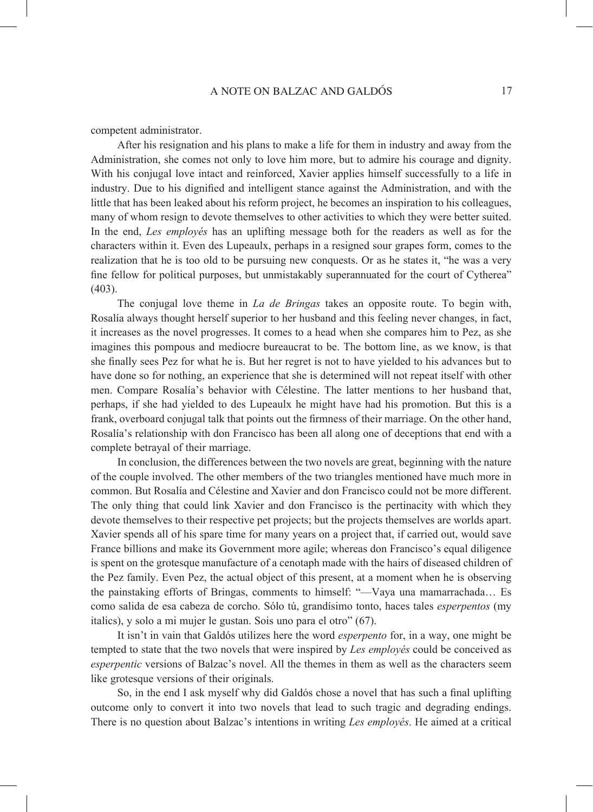competent administrator.

After his resignation and his plans to make a life for them in industry and away from the Administration, she comes not only to love him more, but to admire his courage and dignity. With his conjugal love intact and reinforced, Xavier applies himself successfully to a life in industry. Due to his dignified and intelligent stance against the Administration, and with the little that has been leaked about his reform project, he becomes an inspiration to his colleagues, many of whom resign to devote themselves to other activities to which they were better suited. In the end, *Les employés* has an uplifting message both for the readers as well as for the characters within it. Even des Lupeaulx, perhaps in a resigned sour grapes form, comes to the realization that he is too old to be pursuing new conquests. Or as he states it, "he was a very fine fellow for political purposes, but unmistakably superannuated for the court of Cytherea" (403).

The conjugal love theme in *La de Bringas* takes an opposite route. To begin with, Rosalía always thought herself superior to her husband and this feeling never changes, in fact, it increases as the novel progresses. It comes to a head when she compares him to Pez, as she imagines this pompous and mediocre bureaucrat to be. The bottom line, as we know, is that she finally sees Pez for what he is. But her regret is not to have yielded to his advances but to have done so for nothing, an experience that she is determined will not repeat itself with other men. Compare Rosalía's behavior with Célestine. The latter mentions to her husband that, perhaps, if she had yielded to des Lupeaulx he might have had his promotion. But this is a frank, overboard conjugal talk that points out the firmness of their marriage. On the other hand, Rosalía's relationship with don Francisco has been all along one of deceptions that end with a complete betrayal of their marriage.

In conclusion, the differences between the two novels are great, beginning with the nature of the couple involved. The other members of the two triangles mentioned have much more in common. But Rosalía and Célestine and Xavier and don Francisco could not be more different. The only thing that could link Xavier and don Francisco is the pertinacity with which they devote themselves to their respective pet projects; but the projects themselves are worlds apart. Xavier spends all of his spare time for many years on a project that, if carried out, would save France billions and make its Government more agile; whereas don Francisco's equal diligence is spent on the grotesque manufacture of a cenotaph made with the hairs of diseased children of the Pez family. Even Pez, the actual object of this present, at a moment when he is observing the painstaking efforts of Bringas, comments to himself: "—Vaya una mamarrachada… Es como salida de esa cabeza de corcho. Sólo tú, grandísimo tonto, haces tales *esperpentos* (my italics), y solo a mi mujer le gustan. Sois uno para el otro" (67).

It isn't in vain that Galdós utilizes here the word *esperpento* for, in a way, one might be tempted to state that the two novels that were inspired by *Les employés* could be conceived as *esperpentic* versions of Balzac's novel. All the themes in them as well as the characters seem like grotesque versions of their originals.

So, in the end I ask myself why did Galdós chose a novel that has such a final uplifting outcome only to convert it into two novels that lead to such tragic and degrading endings. There is no question about Balzac's intentions in writing *Les employés*. He aimed at a critical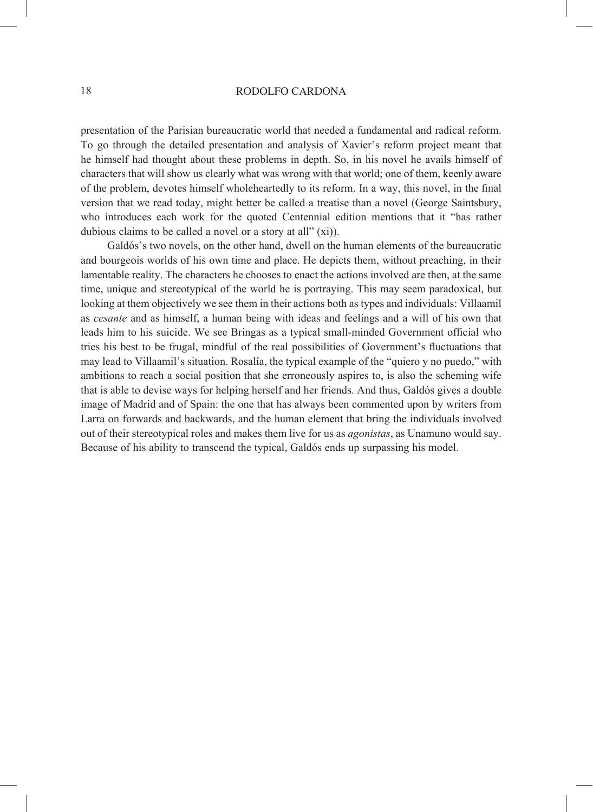presentation of the Parisian bureaucratic world that needed a fundamental and radical reform. To go through the detailed presentation and analysis of Xavier's reform project meant that he himself had thought about these problems in depth. So, in his novel he avails himself of characters that will show us clearly what was wrong with that world; one of them, keenly aware of the problem, devotes himself wholeheartedly to its reform. In a way, this novel, in the final version that we read today, might better be called a treatise than a novel (George Saintsbury, who introduces each work for the quoted Centennial edition mentions that it "has rather dubious claims to be called a novel or a story at all" (xi)).

Galdós's two novels, on the other hand, dwell on the human elements of the bureaucratic and bourgeois worlds of his own time and place. He depicts them, without preaching, in their lamentable reality. The characters he chooses to enact the actions involved are then, at the same time, unique and stereotypical of the world he is portraying. This may seem paradoxical, but looking at them objectively we see them in their actions both as types and individuals: Villaamil as *cesante* and as himself, a human being with ideas and feelings and a will of his own that leads him to his suicide. We see Bringas as a typical small-minded Government official who tries his best to be frugal, mindful of the real possibilities of Government's fluctuations that may lead to Villaamil's situation. Rosalía, the typical example of the "quiero y no puedo," with ambitions to reach a social position that she erroneously aspires to, is also the scheming wife that is able to devise ways for helping herself and her friends. And thus, Galdós gives a double image of Madrid and of Spain: the one that has always been commented upon by writers from Larra on forwards and backwards, and the human element that bring the individuals involved out of their stereotypical roles and makes them live for us as *agonistas*, as Unamuno would say. Because of his ability to transcend the typical, Galdós ends up surpassing his model.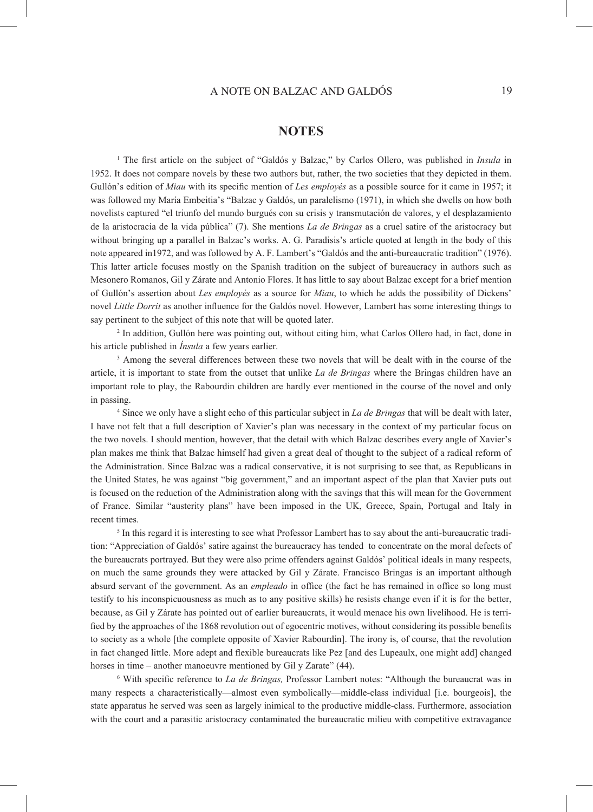## A NOTE ON BALZAC AND GALDÓS 19

## **NOTES**

1 The first article on the subject of "Galdós y Balzac," by Carlos Ollero, was published in *Insula* in 1952. It does not compare novels by these two authors but, rather, the two societies that they depicted in them. Gullón's edition of *Miau* with its specific mention of *Les employés* as a possible source for it came in 1957; it was followed my María Embeitia's "Balzac y Galdós, un paralelismo (1971), in which she dwells on how both novelists captured "el triunfo del mundo burgués con su crisis y transmutación de valores, y el desplazamiento de la aristocracia de la vida pública" (7). She mentions *La de Bringas* as a cruel satire of the aristocracy but without bringing up a parallel in Balzac's works. A. G. Paradisis's article quoted at length in the body of this note appeared in1972, and was followed by A. F. Lambert's "Galdós and the anti-bureaucratic tradition" (1976). This latter article focuses mostly on the Spanish tradition on the subject of bureaucracy in authors such as Mesonero Romanos, Gil y Zárate and Antonio Flores. It has little to say about Balzac except for a brief mention of Gullón's assertion about *Les employés* as a source for *Miau*, to which he adds the possibility of Dickens' novel *Little Dorrit* as another influence for the Galdós novel. However, Lambert has some interesting things to say pertinent to the subject of this note that will be quoted later.

2 In addition, Gullón here was pointing out, without citing him, what Carlos Ollero had, in fact, done in his article published in *Ínsula* a few years earlier.

3 Among the several differences between these two novels that will be dealt with in the course of the article, it is important to state from the outset that unlike *La de Bringas* where the Bringas children have an important role to play, the Rabourdin children are hardly ever mentioned in the course of the novel and only in passing.

4 Since we only have a slight echo of this particular subject in *La de Bringas* that will be dealt with later, I have not felt that a full description of Xavier's plan was necessary in the context of my particular focus on the two novels. I should mention, however, that the detail with which Balzac describes every angle of Xavier's plan makes me think that Balzac himself had given a great deal of thought to the subject of a radical reform of the Administration. Since Balzac was a radical conservative, it is not surprising to see that, as Republicans in the United States, he was against "big government," and an important aspect of the plan that Xavier puts out is focused on the reduction of the Administration along with the savings that this will mean for the Government of France. Similar "austerity plans" have been imposed in the UK, Greece, Spain, Portugal and Italy in recent times.

<sup>5</sup> In this regard it is interesting to see what Professor Lambert has to say about the anti-bureaucratic tradition: "Appreciation of Galdós' satire against the bureaucracy has tended to concentrate on the moral defects of the bureaucrats portrayed. But they were also prime offenders against Galdós' political ideals in many respects, on much the same grounds they were attacked by Gil y Zárate. Francisco Bringas is an important although absurd servant of the government. As an *empleado* in office (the fact he has remained in office so long must testify to his inconspicuousness as much as to any positive skills) he resists change even if it is for the better, because, as Gil y Zárate has pointed out of earlier bureaucrats, it would menace his own livelihood. He is terrified by the approaches of the 1868 revolution out of egocentric motives, without considering its possible benefits to society as a whole [the complete opposite of Xavier Rabourdin]. The irony is, of course, that the revolution in fact changed little. More adept and flexible bureaucrats like Pez [and des Lupeaulx, one might add] changed horses in time – another manoeuvre mentioned by Gil y Zarate" (44).

6 With specific reference to *La de Bringas,* Professor Lambert notes: "Although the bureaucrat was in many respects a characteristically—almost even symbolically—middle-class individual [i.e. bourgeois], the state apparatus he served was seen as largely inimical to the productive middle-class. Furthermore, association with the court and a parasitic aristocracy contaminated the bureaucratic milieu with competitive extravagance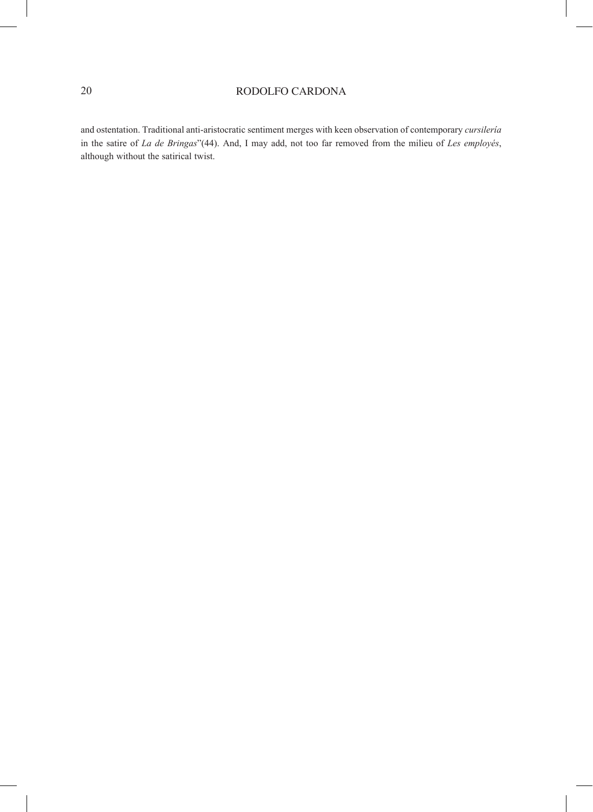and ostentation. Traditional anti-aristocratic sentiment merges with keen observation of contemporary *cursilería* in the satire of *La de Bringas*"(44). And, I may add, not too far removed from the milieu of *Les employés*, although without the satirical twist.